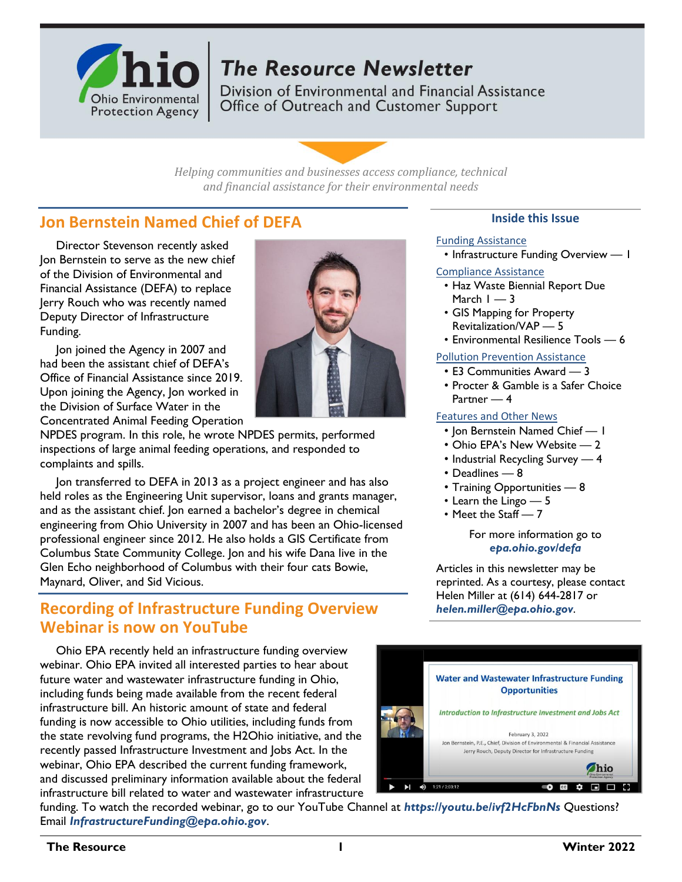

## **The Resource Newsletter**

Division of Environmental and Financial Assistance Office of Outreach and Customer Support

*Helping communities and businesses access compliance, technical and financial assistance for their environmental needs*

## **Jon Bernstein Named Chief of DEFA**

Director Stevenson recently asked Jon Bernstein to serve as the new chief of the Division of Environmental and Financial Assistance (DEFA) to replace Jerry Rouch who was recently named Deputy Director of Infrastructure Funding.

Jon joined the Agency in 2007 and had been the assistant chief of DEFA's Office of Financial Assistance since 2019. Upon joining the Agency, Jon worked in the Division of Surface Water in the Concentrated Animal Feeding Operation

NPDES program. In this role, he wrote NPDES permits, performed inspections of large animal feeding operations, and responded to complaints and spills.

Jon transferred to DEFA in 2013 as a project engineer and has also held roles as the Engineering Unit supervisor, loans and grants manager, and as the assistant chief. Jon earned a bachelor's degree in chemical engineering from Ohio University in 2007 and has been an Ohio-licensed professional engineer since 2012. He also holds a GIS Certificate from Columbus State Community College. Jon and his wife Dana live in the Glen Echo neighborhood of Columbus with their four cats Bowie, Maynard, Oliver, and Sid Vicious.

## **Recording of Infrastructure Funding Overview Webinar is now on YouTube**

Ohio EPA recently held an infrastructure funding overview webinar. Ohio EPA invited all interested parties to hear about future water and wastewater infrastructure funding in Ohio, including funds being made available from the recent federal infrastructure bill. An historic amount of state and federal funding is now accessible to Ohio utilities, including funds from the state revolving fund programs, the H2Ohio initiative, and the recently passed Infrastructure Investment and Jobs Act. In the webinar, Ohio EPA described the current funding framework, and discussed preliminary information available about the federal infrastructure bill related to water and wastewater infrastructure



#### **Inside this Issue**

#### Funding Assistance

• Infrastructure Funding Overview — 1

- Compliance Assistance
	- Haz Waste Biennial Report Due March  $1 - 3$
	- GIS Mapping for Property Revitalization/VAP — 5
	- Environmental Resilience Tools 6

Pollution Prevention Assistance

- E3 Communities Award 3
- Procter & Gamble is a Safer Choice Partner — 4

#### Features and Other News

- Jon Bernstein Named Chief 1
- Ohio EPA's New Website 2
- Industrial Recycling Survey 4
- Deadlines 8
- Training Opportunities 8
- Learn the Lingo 5
- Meet the Staff 7

#### For more information go to *[epa.ohio.gov/defa](http://epa.ohio.gov/defa/)*

Articles in this newsletter may be reprinted. As a courtesy, please contact Helen Miller at (614) 644-2817 or *[helen.miller@epa.ohio.gov](mailto:helen.miller@epa.ohio.gov)*.



funding. To watch the recorded webinar, go to our YouTube Channel at *<https://youtu.be/ivf2HcFbnNs>* Questions? Email *[InfrastructureFunding@epa.ohio.gov](mailto:InfrastructureFunding@epa.ohio.gov)*.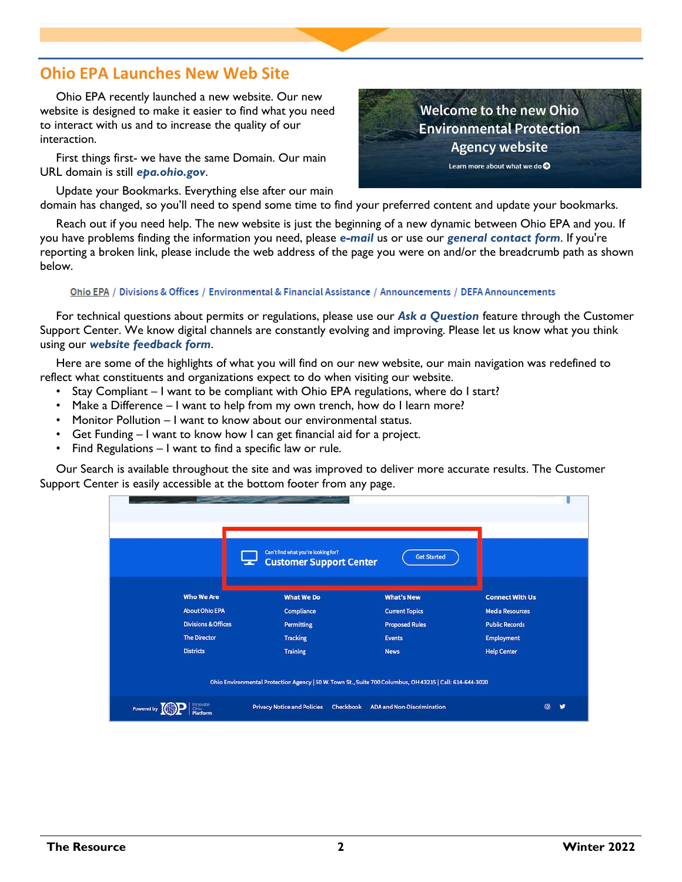## **Ohio EPA Launches New Web Site**

Ohio EPA recently launched a new website. Our new website is designed to make it easier to find what you need to interact with us and to increase the quality of our interaction.

First things first- we have the same Domain. Our main URL domain is still *[epa.ohio.gov](https://epa.ohio.gov/)*.

Update your Bookmarks. Everything else after our main domain has changed, so you'll need to spend some time to find your preferred content and update your bookmarks.

Reach out if you need help. The new website is just the beginning of a new dynamic between Ohio EPA and you. If you have problems finding the information you need, please *[e-mail](mailto:web.requests@epa.ohio.gov?subject=New%20Website%20Help%20-%20External)* us or use our *[general contact form](https://epa.ohio.gov/help-center/contact-us/forms/contact-us-form)*. If you're reporting a broken link, please include the web address of the page you were on and/or the breadcrumb path as shown below.

#### Ohio EPA / Divisions & Offices / Environmental & Financial Assistance / Announcements / DEFA Announcements

For technical questions about permits or regulations, please use our *[Ask a Question](https://ohioepa.custhelp.com/app/ask)* feature through the Customer Support Center. We know digital channels are constantly evolving and improving. Please let us know what you think using our *[website feedback form](https://epa.ohio.gov/help-center/contact-us/forms/website-feedback-form)*.

Here are some of the highlights of what you will find on our new website, our main navigation was redefined to reflect what constituents and organizations expect to do when visiting our website.

- Stay Compliant I want to be compliant with Ohio EPA regulations, where do I start?
- Make a Difference I want to help from my own trench, how do I learn more?
- Monitor Pollution I want to know about our environmental status.
- Get Funding I want to know how I can get financial aid for a project.
- Find Regulations I want to find a specific law or rule.

Our Search is available throughout the site and was improved to deliver more accurate results. The Customer Support Center is easily accessible at the bottom footer from any page.

|                                                                                                          | Can't find what you're looking for?<br><b>Get Started</b><br><b>Customer Support Center</b> |                                                                     |                                                                           |
|----------------------------------------------------------------------------------------------------------|---------------------------------------------------------------------------------------------|---------------------------------------------------------------------|---------------------------------------------------------------------------|
| <b>Who We Are</b><br><b>About Ohio EPA</b><br><b>Divisions &amp; Offices</b>                             | <b>What We Do</b><br>Compliance<br><b>Permitting</b>                                        | <b>What's New</b><br><b>Current Topics</b><br><b>Proposed Rules</b> | <b>Connect With Us</b><br><b>Media Resources</b><br><b>Public Records</b> |
| <b>The Director</b><br><b>Districts</b>                                                                  | <b>Tracking</b><br><b>Training</b>                                                          | <b>Events</b><br><b>News</b>                                        | <b>Employment</b><br><b>Help Center</b>                                   |
| Ohio Environmental Protection Agency   50 W. Town St., Suite 700 Columbus, OH 43215   Call: 614-644-3020 |                                                                                             |                                                                     |                                                                           |
| <b>Powered by</b>                                                                                        | <b>Privacy Notice and Policies</b>                                                          | <b>ADA and Non-Discrimination</b><br>Checkbook                      | Θ                                                                         |

**Welcome to the new Ohio Environmental Protection Agency website** Learn more about what we do  $\bullet$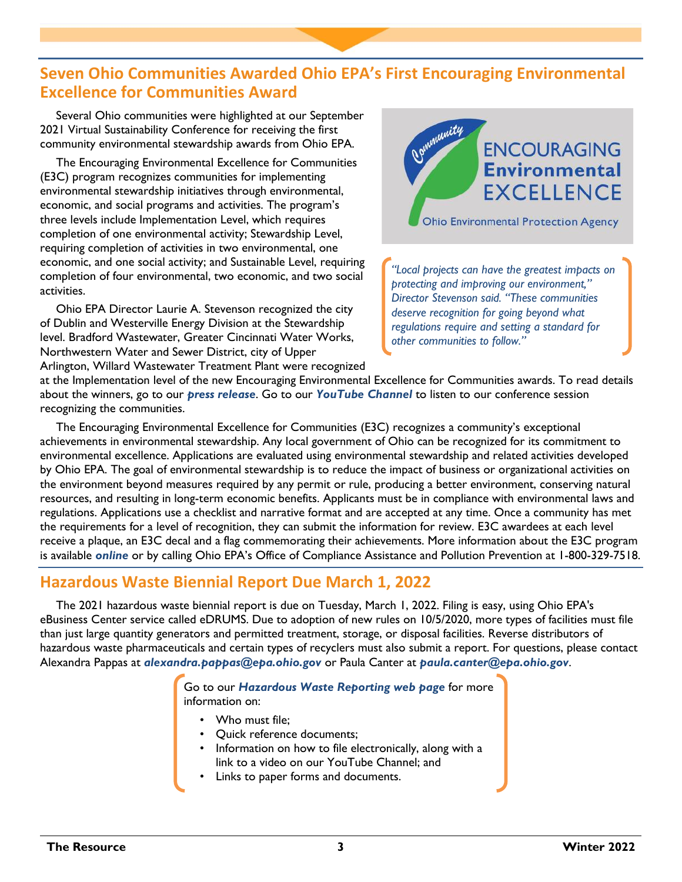## **Seven Ohio Communities Awarded Ohio EPA's First Encouraging Environmental Excellence for Communities Award**

Several Ohio communities were highlighted at our September 2021 Virtual Sustainability Conference for receiving the first community environmental stewardship awards from Ohio EPA.

The Encouraging Environmental Excellence for Communities (E3C) program recognizes communities for implementing environmental stewardship initiatives through environmental, economic, and social programs and activities. The program's three levels include Implementation Level, which requires completion of one environmental activity; Stewardship Level, requiring completion of activities in two environmental, one economic, and one social activity; and Sustainable Level, requiring completion of four environmental, two economic, and two social activities.

Ohio EPA Director Laurie A. Stevenson recognized the city of Dublin and Westerville Energy Division at the Stewardship level. Bradford Wastewater, Greater Cincinnati Water Works, Northwestern Water and Sewer District, city of Upper Arlington, Willard Wastewater Treatment Plant were recognized



*"Local projects can have the greatest impacts on protecting and improving our environment," Director Stevenson said. "These communities deserve recognition for going beyond what regulations require and setting a standard for other communities to follow."* 

at the Implementation level of the new Encouraging Environmental Excellence for Communities awards. To read details about the winners, go to our *[press release](https://epa.ohio.gov/about/media-center/news/seven-ohio-communities-earn-ohio-epas-first-encouraging-environmental-excellence-for-communities-award)*. Go to our *[YouTube Channel](https://www.youtube.com/watch?v=GO5qVTIL2tw&list=PLG-i5NyfnYhF6iEMzwCzNGuQLDLV9fu_g)* to listen to our conference session recognizing the communities.

The Encouraging Environmental Excellence for Communities (E3C) recognizes a community's exceptional achievements in environmental stewardship. Any local government of Ohio can be recognized for its commitment to environmental excellence. Applications are evaluated using environmental stewardship and related activities developed by Ohio EPA. The goal of environmental stewardship is to reduce the impact of business or organizational activities on the environment beyond measures required by any permit or rule, producing a better environment, conserving natural resources, and resulting in long-term economic benefits. Applicants must be in compliance with environmental laws and regulations. Applications use a checklist and narrative format and are accepted at any time. Once a community has met the requirements for a level of recognition, they can submit the information for review. E3C awardees at each level receive a plaque, an E3C decal and a flag commemorating their achievements. More information about the E3C program is available *[online](https://epa.ohio.gov/divisions-and-offices/environmental-financial-assistance/recognition-and-awards/encouraging-environmental-excellence-e3-program)* or by calling Ohio EPA's Office of Compliance Assistance and Pollution Prevention at 1-800-329-7518.

## **Hazardous Waste Biennial Report Due March 1, 2022**

The 2021 hazardous waste biennial report is due on Tuesday, March 1, 2022. Filing is easy, using Ohio EPA's eBusiness Center service called eDRUMS. Due to adoption of new rules on 10/5/2020, more types of facilities must file than just large quantity generators and permitted treatment, storage, or disposal facilities. Reverse distributors of hazardous waste pharmaceuticals and certain types of recyclers must also submit a report. For questions, please contact Alexandra Pappas at *[alexandra.pappas@epa.ohio.gov](mailto:alexandra.pappas@epa.ohio.gov)* or Paula Canter at *[paula.canter@epa.ohio.gov](mailto:paula.canter@epa.ohio.gov)*.

> Go to our *[Hazardous Waste Reporting web page](https://epa.ohio.gov/divisions-and-offices/environmental-response-revitalization/reports-and-data/hazardous-waste-reporting)* for more information on:

- Who must file:
- Quick reference documents;
- Information on how to file electronically, along with a link to a video on our YouTube Channel; and
- Links to paper forms and documents.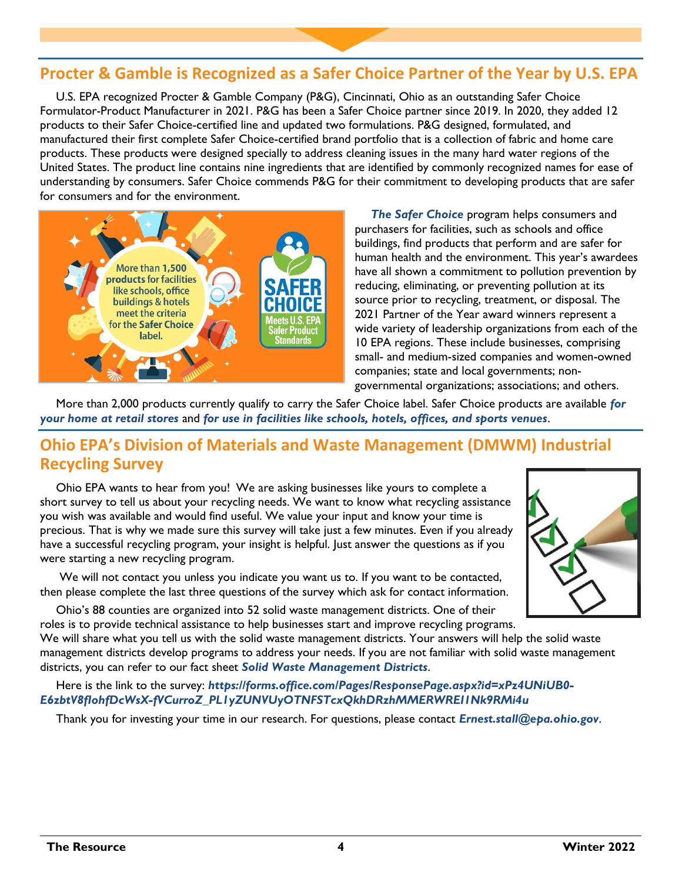## **Procter & Gamble is Recognized as a Safer Choice Partner of the Year by U.S. EPA**

U.S. EPA recognized Procter & Gamble Company (P&G), Cincinnati, Ohio as an outstanding Safer Choice Formulator-Product Manufacturer in 2021. P&G has been a Safer Choice partner since 2019. In 2020, they added 12 products to their Safer Choice-certified line and updated two formulations. P&G designed, formulated, and manufactured their first complete Safer Choice-certified brand portfolio that is a collection of fabric and home care products. These products were designed specially to address cleaning issues in the many hard water regions of the United States. The product line contains nine ingredients that are identified by commonly recognized names for ease of understanding by consumers. Safer Choice commends P&G for their commitment to developing products that are safer for consumers and for the environment.



*[The Safer Choice](https://www.epa.gov/saferchoice)* program helps consumers and purchasers for facilities, such as schools and office buildings, find products that perform and are safer for human health and the environment. This year's awardees have all shown a commitment to pollution prevention by reducing, eliminating, or preventing pollution at its source prior to recycling, treatment, or disposal. The 2021 Partner of the Year award winners represent a wide variety of leadership organizations from each of the 10 EPA regions. These include businesses, comprising small- and medium-sized companies and women-owned companies; state and local governments; nongovernmental organizations; associations; and others.

More than 2,000 products currently qualify to carry the Safer Choice label. Safer Choice products are available *[for](https://www.epa.gov/saferchoice/products#sector=Home)  [your home at retail stores](https://www.epa.gov/saferchoice/products#sector=Home)* and *[for use in facilities like schools, hotels, offices, and sports venues](https://www.epa.gov/saferchoice/products#sector=Business)*.

## **Ohio EPA's Division of Materials and Waste Management (DMWM) Industrial Recycling Survey**

Ohio EPA wants to hear from you! We are asking businesses like yours to complete a short survey to tell us about your recycling needs. We want to know what recycling assistance you wish was available and would find useful. We value your input and know your time is precious. That is why we made sure this survey will take just a few minutes. Even if you already have a successful recycling program, your insight is helpful. Just answer the questions as if you were starting a new recycling program.

We will not contact you unless you indicate you want us to. If you want to be contacted, then please complete the last three questions of the survey which ask for contact information.

Ohio's 88 counties are organized into 52 solid waste management districts. One of their roles is to provide technical assistance to help businesses start and improve recycling programs.

We will share what you tell us with the solid waste management districts. Your answers will help the solid waste management districts develop programs to address your needs. If you are not familiar with solid waste management districts, you can refer to our fact sheet *[Solid Waste Management Districts](https://epa.ohio.gov/static/Portals/34/document/guidance/gd_1005.pdf)*.

Here is the link to the survey: *[https://forms.office.com/Pages/ResponsePage.aspx?id=xPz4UNiUB0-](https://forms.office.com/Pages/ResponsePage.aspx?id=xPz4UNiUB0-E6zbtV8fIohfDcWsX-fVCurroZ_PL1yZUNVUyOTNFSTcxQkhDRzhMMERWREI1Nk9RMi4u) [E6zbtV8fIohfDcWsX-fVCurroZ\\_PL1yZUNVUyOTNFSTcxQkhDRzhMMERWREI1Nk9RMi4u](https://forms.office.com/Pages/ResponsePage.aspx?id=xPz4UNiUB0-E6zbtV8fIohfDcWsX-fVCurroZ_PL1yZUNVUyOTNFSTcxQkhDRzhMMERWREI1Nk9RMi4u)*

Thank you for investing your time in our research. For questions, please contact *[Ernest.stall@epa.ohio.gov](mailto:Ernest.stall@epa.ohio.gov)*.

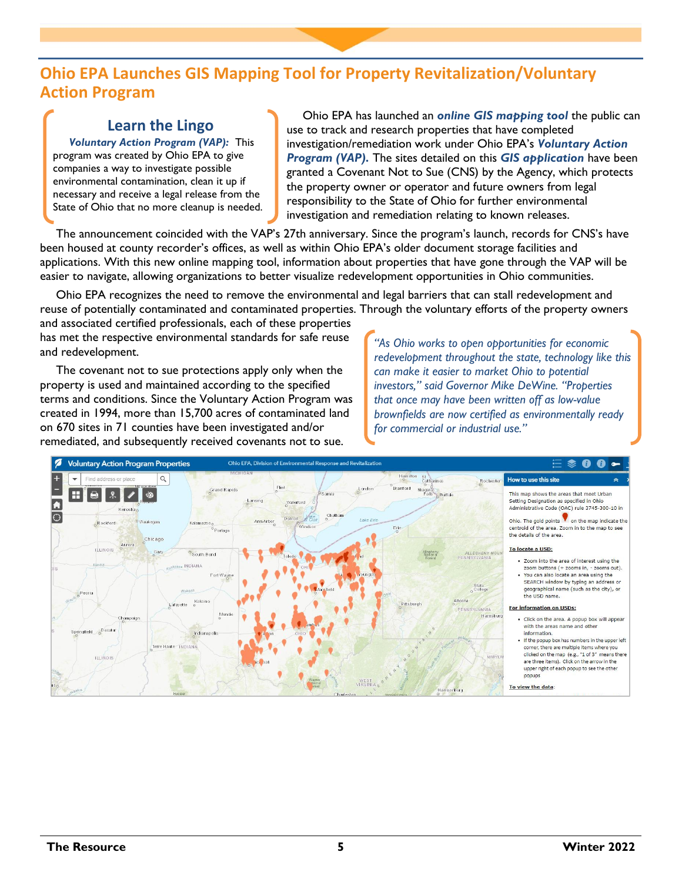## **Ohio EPA Launches GIS Mapping Tool for Property Revitalization/Voluntary Action Program**

## **Learn the Lingo**

*[Voluntary Action Program \(VAP\):](https://epa.ohio.gov/divisions-and-offices/environmental-response-revitalization/derr-programs/voluntary-action-program)* This program was created by Ohio EPA to give companies a way to investigate possible environmental contamination, clean it up if necessary and receive a legal release from the State of Ohio that no more cleanup is needed.

Ohio EPA has launched an *[online GIS mapping tool](https://epa.ohio.gov/about/media-center/news/ohio-epa-launches-gis-mapping-tool-for-property-revitalizationvoluntary-action-program)* the public can use to track and research properties that have completed investigation/remediation work under Ohio EPA's *[Voluntary Action](https://epa.ohio.gov/divisions-and-offices/environmental-response-revitalization/derr-programs/voluntary-action-program)  [Program \(VAP\).](https://epa.ohio.gov/divisions-and-offices/environmental-response-revitalization/derr-programs/voluntary-action-program)* The sites detailed on this *[GIS application](https://oepa.maps.arcgis.com/apps/webappviewer/index.html?id=ed14ff3065b848a0aba82d4a71f57d82)* have been granted a Covenant Not to Sue (CNS) by the Agency, which protects the property owner or operator and future owners from legal responsibility to the State of Ohio for further environmental investigation and remediation relating to known releases.

The announcement coincided with the VAP's 27th anniversary. Since the program's launch, records for CNS's have been housed at county recorder's offices, as well as within Ohio EPA's older document storage facilities and applications. With this new online mapping tool, information about properties that have gone through the VAP will be easier to navigate, allowing organizations to better visualize redevelopment opportunities in Ohio communities.

Ohio EPA recognizes the need to remove the environmental and legal barriers that can stall redevelopment and reuse of potentially contaminated and contaminated properties. Through the voluntary efforts of the property owners and associated certified professionals, each of these properties

has met the respective environmental standards for safe reuse and redevelopment.

The covenant not to sue protections apply only when the property is used and maintained according to the specified terms and conditions. Since the Voluntary Action Program was created in 1994, more than 15,700 acres of contaminated land on 670 sites in 71 counties have been investigated and/or remediated, and subsequently received covenants not to sue.

*"As Ohio works to open opportunities for economic redevelopment throughout the state, technology like this can make it easier to market Ohio to potential investors," said Governor Mike DeWine. "Properties that once may have been written off as low-value brownfields are now certified as environmentally ready for commercial or industrial use."* 

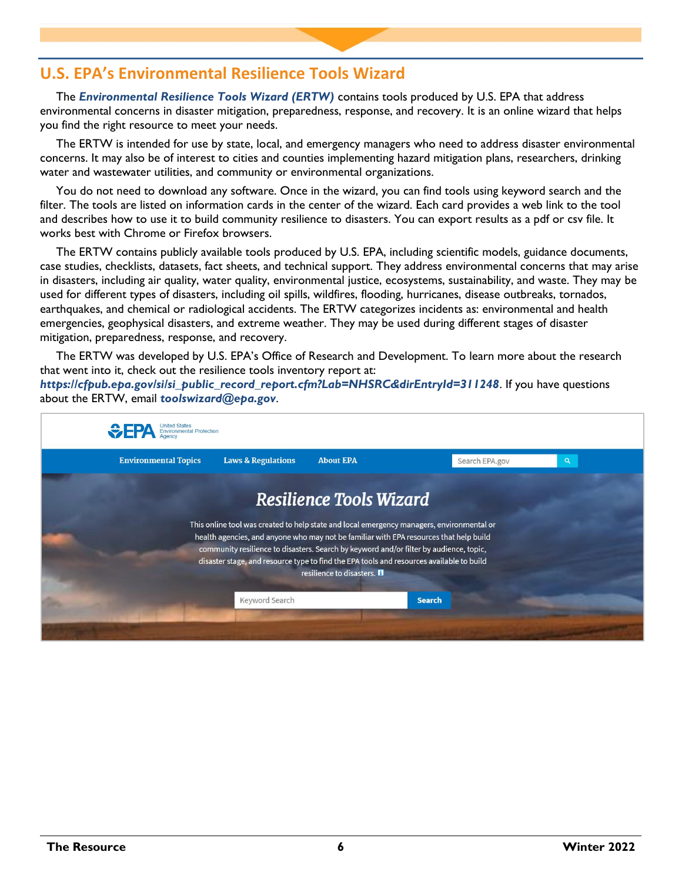## **U.S. EPA's Environmental Resilience Tools Wizard**

The *[Environmental Resilience Tools Wizard \(ERTW\)](https://www.epa.gov/emergency-response-research/environmental-resilience-tools-wizard)* contains tools produced by U.S. EPA that address environmental concerns in disaster mitigation, preparedness, response, and recovery. It is an online wizard that helps you find the right resource to meet your needs.

The ERTW is intended for use by state, local, and emergency managers who need to address disaster environmental concerns. It may also be of interest to cities and counties implementing hazard mitigation plans, researchers, drinking water and wastewater utilities, and community or environmental organizations.

You do not need to download any software. Once in the wizard, you can find tools using keyword search and the filter. The tools are listed on information cards in the center of the wizard. Each card provides a web link to the tool and describes how to use it to build community resilience to disasters. You can export results as a pdf or csv file. It works best with Chrome or Firefox browsers.

The ERTW contains publicly available tools produced by U.S. EPA, including scientific models, guidance documents, case studies, checklists, datasets, fact sheets, and technical support. They address environmental concerns that may arise in disasters, including air quality, water quality, environmental justice, ecosystems, sustainability, and waste. They may be used for different types of disasters, including oil spills, wildfires, flooding, hurricanes, disease outbreaks, tornados, earthquakes, and chemical or radiological accidents. The ERTW categorizes incidents as: environmental and health emergencies, geophysical disasters, and extreme weather. They may be used during different stages of disaster mitigation, preparedness, response, and recovery.

The ERTW was developed by U.S. EPA's Office of Research and Development. To learn more about the research that went into it, check out the resilience tools inventory report at:

*[https://cfpub.epa.gov/si/si\\_public\\_record\\_report.cfm?Lab=NHSRC&dirEntryId=311248](https://cfpub.epa.gov/si/si_public_record_report.cfm?Lab=NHSRC&dirEntryId=311248)*. If you have questions about the ERTW, email *[toolswizard@epa.gov](mailto:toolswizard@epa.gov)*.

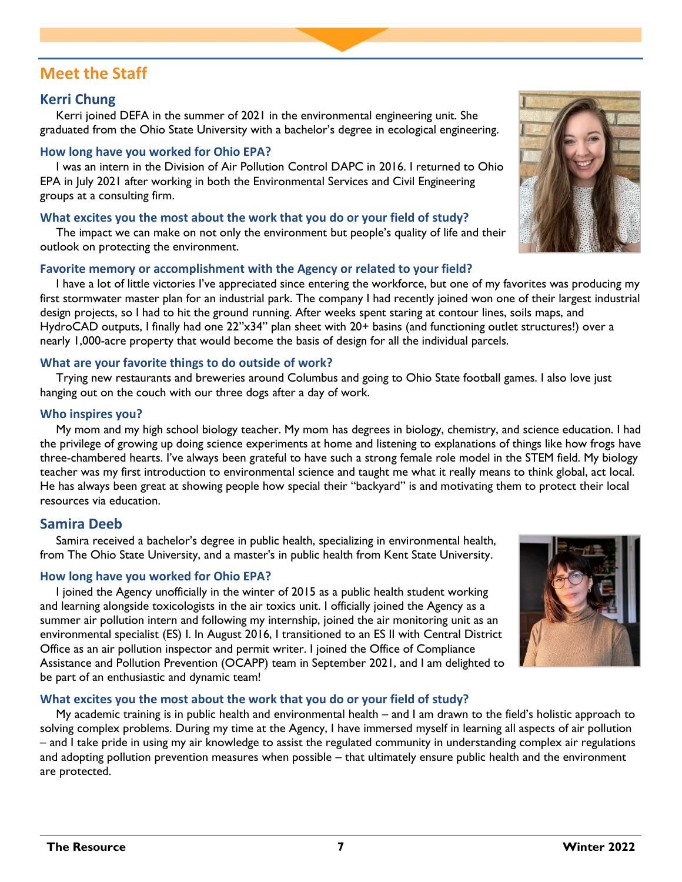## **Meet the Staff**

#### **Kerri Chung**

Kerri joined DEFA in the summer of 2021 in the environmental engineering unit. She graduated from the Ohio State University with a bachelor's degree in ecological engineering.

#### **How long have you worked for Ohio EPA?**

I was an intern in the Division of Air Pollution Control DAPC in 2016. I returned to Ohio EPA in July 2021 after working in both the Environmental Services and Civil Engineering groups at a consulting firm.

#### **What excites you the most about the work that you do or your field of study?**

The impact we can make on not only the environment but people's quality of life and their outlook on protecting the environment.

#### **Favorite memory or accomplishment with the Agency or related to your field?**

I have a lot of little victories I've appreciated since entering the workforce, but one of my favorites was producing my first stormwater master plan for an industrial park. The company I had recently joined won one of their largest industrial design projects, so I had to hit the ground running. After weeks spent staring at contour lines, soils maps, and HydroCAD outputs, I finally had one 22"x34" plan sheet with 20+ basins (and functioning outlet structures!) over a nearly 1,000-acre property that would become the basis of design for all the individual parcels.

#### **What are your favorite things to do outside of work?**

Trying new restaurants and breweries around Columbus and going to Ohio State football games. I also love just hanging out on the couch with our three dogs after a day of work.

#### **Who inspires you?**

My mom and my high school biology teacher. My mom has degrees in biology, chemistry, and science education. I had the privilege of growing up doing science experiments at home and listening to explanations of things like how frogs have three-chambered hearts. I've always been grateful to have such a strong female role model in the STEM field. My biology teacher was my first introduction to environmental science and taught me what it really means to think global, act local. He has always been great at showing people how special their "backyard" is and motivating them to protect their local resources via education.

#### **Samira Deeb**

Samira received a bachelor's degree in public health, specializing in environmental health, from The Ohio State University, and a master's in public health from Kent State University.

#### **How long have you worked for Ohio EPA?**

I joined the Agency unofficially in the winter of 2015 as a public health student working and learning alongside toxicologists in the air toxics unit. I officially joined the Agency as a summer air pollution intern and following my internship, joined the air monitoring unit as an environmental specialist (ES) I. In August 2016, I transitioned to an ES II with Central District Office as an air pollution inspector and permit writer. I joined the Office of Compliance Assistance and Pollution Prevention (OCAPP) team in September 2021, and I am delighted to be part of an enthusiastic and dynamic team!

#### **What excites you the most about the work that you do or your field of study?**

My academic training is in public health and environmental health – and I am drawn to the field's holistic approach to solving complex problems. During my time at the Agency, I have immersed myself in learning all aspects of air pollution – and I take pride in using my air knowledge to assist the regulated community in understanding complex air regulations and adopting pollution prevention measures when possible – that ultimately ensure public health and the environment are protected.